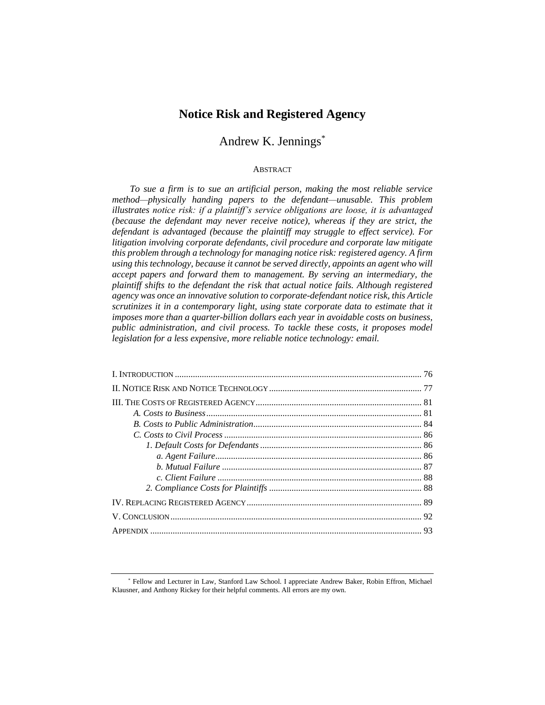# **Notice Risk and Registered Agency**

# Andrew K. Jennings\*

# ABSTRACT

*To sue a firm is to sue an artificial person, making the most reliable service method—physically handing papers to the defendant—unusable. This problem illustrates notice risk: if a plaintiff's service obligations are loose, it is advantaged (because the defendant may never receive notice), whereas if they are strict, the defendant is advantaged (because the plaintiff may struggle to effect service). For litigation involving corporate defendants, civil procedure and corporate law mitigate this problem through a technology for managing notice risk: registered agency. A firm using this technology, because it cannot be served directly, appoints an agent who will accept papers and forward them to management. By serving an intermediary, the plaintiff shifts to the defendant the risk that actual notice fails. Although registered agency was once an innovative solution to corporate-defendant notice risk, this Article scrutinizes it in a contemporary light, using state corporate data to estimate that it imposes more than a quarter-billion dollars each year in avoidable costs on business, public administration, and civil process. To tackle these costs, it proposes model legislation for a less expensive, more reliable notice technology: email.*

<sup>\*</sup> Fellow and Lecturer in Law, Stanford Law School. I appreciate Andrew Baker, Robin Effron, Michael Klausner, and Anthony Rickey for their helpful comments. All errors are my own.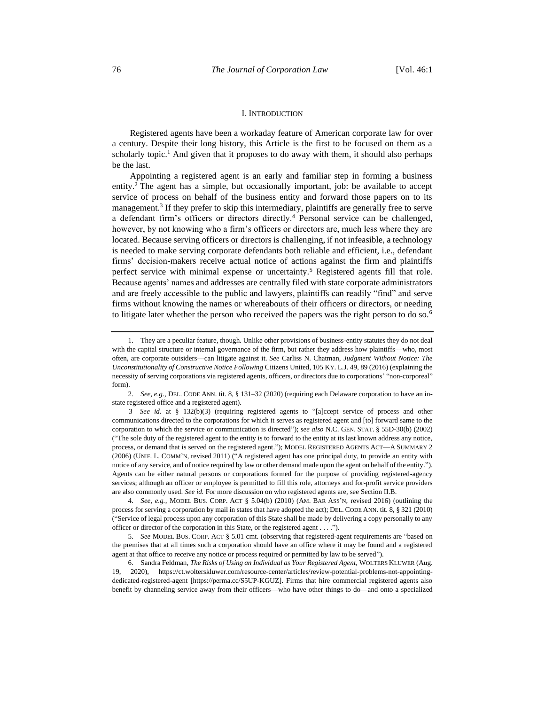### <span id="page-1-0"></span>I. INTRODUCTION

Registered agents have been a workaday feature of American corporate law for over a century. Despite their long history, this Article is the first to be focused on them as a scholarly topic.<sup>1</sup> And given that it proposes to do away with them, it should also perhaps be the last.

Appointing a registered agent is an early and familiar step in forming a business entity.<sup>2</sup> The agent has a simple, but occasionally important, job: be available to accept service of process on behalf of the business entity and forward those papers on to its management.<sup>3</sup> If they prefer to skip this intermediary, plaintiffs are generally free to serve a defendant firm's officers or directors directly.<sup>4</sup> Personal service can be challenged, however, by not knowing who a firm's officers or directors are, much less where they are located. Because serving officers or directors is challenging, if not infeasible, a technology is needed to make serving corporate defendants both reliable and efficient, i.e., defendant firms' decision-makers receive actual notice of actions against the firm and plaintiffs perfect service with minimal expense or uncertainty.<sup>5</sup> Registered agents fill that role. Because agents' names and addresses are centrally filed with state corporate administrators and are freely accessible to the public and lawyers, plaintiffs can readily "find" and serve firms without knowing the names or whereabouts of their officers or directors, or needing to litigate later whether the person who received the papers was the right person to do so.<sup>6</sup>

<sup>1.</sup> They are a peculiar feature, though. Unlike other provisions of business-entity statutes they do not deal with the capital structure or internal governance of the firm, but rather they address how plaintiffs—who, most often, are corporate outsiders—can litigate against it. *See* Carliss N. Chatman, *Judgment Without Notice: The Unconstitutionality of Constructive Notice Following* Citizens United, 105 KY. L.J. 49, 89 (2016) (explaining the necessity of serving corporations via registered agents, officers, or directors due to corporations' "non-corporeal" form).

<sup>2.</sup> *See, e.g.*, DEL. CODE ANN. tit. 8, § 131–32 (2020) (requiring each Delaware corporation to have an instate registered office and a registered agent).

<sup>3</sup> . *See id.* at § 132(b)(3) (requiring registered agents to "[a]ccept service of process and other communications directed to the corporations for which it serves as registered agent and [to] forward same to the corporation to which the service or communication is directed"); *see also* N.C. GEN. STAT. § 55D-30(b) (2002) ("The sole duty of the registered agent to the entity is to forward to the entity at its last known address any notice, process, or demand that is served on the registered agent."); MODEL REGISTERED AGENTS ACT—A SUMMARY 2 (2006) (UNIF. L. COMM'N, revised 2011) ("A registered agent has one principal duty, to provide an entity with notice of any service, and of notice required by law or other demand made upon the agent on behalf of the entity."). Agents can be either natural persons or corporations formed for the purpose of providing registered-agency services; although an officer or employee is permitted to fill this role, attorneys and for-profit service providers are also commonly used. *See id.* For more discussion on who registered agents are, see Section II.B.

<sup>4.</sup> *See, e.g.*, MODEL BUS. CORP. ACT § 5.04(b) (2010) (AM. BAR ASS'N, revised 2016) (outlining the process for serving a corporation by mail in states that have adopted the act); DEL. CODE ANN. tit. 8, § 321 (2010) ("Service of legal process upon any corporation of this State shall be made by delivering a copy personally to any officer or director of the corporation in this State, or the registered agent . . . .").

<sup>5.</sup> *See* MODEL BUS. CORP. ACT § 5.01 cmt. (observing that registered-agent requirements are "based on the premises that at all times such a corporation should have an office where it may be found and a registered agent at that office to receive any notice or process required or permitted by law to be served").

<sup>6.</sup> Sandra Feldman, *The Risks of Using an Individual as Your Registered Agent*, WOLTERS KLUWER (Aug. 19, 2020), https://ct.wolterskluwer.com/resource-center/articles/review-potential-problems-not-appointingdedicated-registered-agent [https://perma.cc/S5UP-KGUZ]. Firms that hire commercial registered agents also benefit by channeling service away from their officers—who have other things to do—and onto a specialized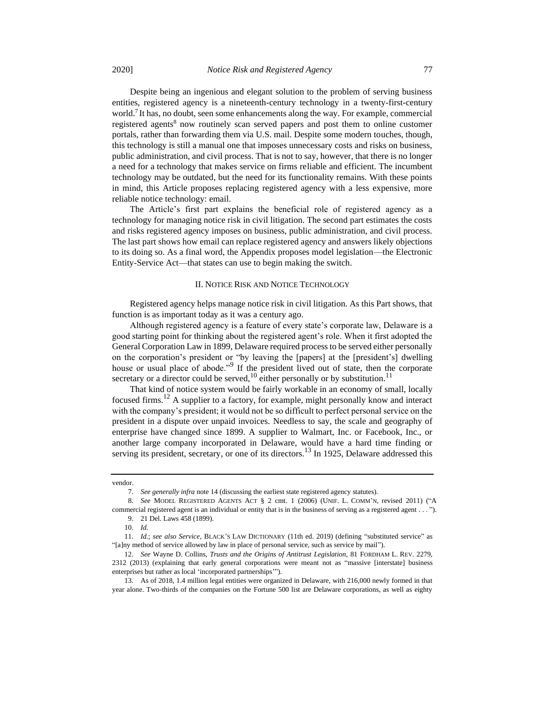Despite being an ingenious and elegant solution to the problem of serving business entities, registered agency is a nineteenth-century technology in a twenty-first-century world.<sup>7</sup> It has, no doubt, seen some enhancements along the way. For example, commercial registered agents<sup>8</sup> now routinely scan served papers and post them to online customer portals, rather than forwarding them via U.S. mail. Despite some modern touches, though, this technology is still a manual one that imposes unnecessary costs and risks on business, public administration, and civil process. That is not to say, however, that there is no longer a need for a technology that makes service on firms reliable and efficient. The incumbent technology may be outdated, but the need for its functionality remains. With these points in mind, this Article proposes replacing registered agency with a less expensive, more reliable notice technology: email.

The Article's first part explains the beneficial role of registered agency as a technology for managing notice risk in civil litigation. The second part estimates the costs and risks registered agency imposes on business, public administration, and civil process. The last part shows how email can replace registered agency and answers likely objections to its doing so. As a final word, the Appendix proposes model legislation—the Electronic Entity-Service Act—that states can use to begin making the switch.

### II. NOTICE RISK AND NOTICE TECHNOLOGY

Registered agency helps manage notice risk in civil litigation. As this Part shows, that function is as important today as it was a century ago.

Although registered agency is a feature of every state's corporate law, Delaware is a good starting point for thinking about the registered agent's role. When it first adopted the General Corporation Law in 1899, Delaware required process to be served either personally on the corporation's president or "by leaving the [papers] at the [president's] dwelling house or usual place of abode."<sup>9</sup> If the president lived out of state, then the corporate secretary or a director could be served,<sup>10</sup> either personally or by substitution.<sup>11</sup>

That kind of notice system would be fairly workable in an economy of small, locally focused firms.<sup>12</sup> A supplier to a factory, for example, might personally know and interact with the company's president; it would not be so difficult to perfect personal service on the president in a dispute over unpaid invoices. Needless to say, the scale and geography of enterprise have changed since 1899. A supplier to Walmart, Inc. or Facebook, Inc., or another large company incorporated in Delaware, would have a hard time finding or serving its president, secretary, or one of its directors.<sup>13</sup> In 1925, Delaware addressed this

vendor.

<sup>7.</sup> *See generally infra* not[e 14](#page-3-0) (discussing the earliest state registered agency statutes).

<sup>8.</sup> *See* MODEL REGISTERED AGENTS ACT § 2 cmt. 1 (2006) (UNIF. L. COMM'N, revised 2011) ("A commercial registered agent is an individual or entity that is in the business of serving as a registered agent . . . ").

<sup>9.</sup> 21 Del. Laws 458 (1899).

<sup>10.</sup> *Id.*

<sup>11</sup>*. Id.*; *see also Service*, BLACK'S LAW DICTIONARY (11th ed. 2019) (defining "substituted service" as "[a]ny method of service allowed by law in place of personal service, such as service by mail").

<sup>12.</sup> *See* Wayne D. Collins, *Trusts and the Origins of Antitrust Legislation*, 81 FORDHAM L. REV. 2279, 2312 (2013) (explaining that early general corporations were meant not as "massive [interstate] business enterprises but rather as local 'incorporated partnerships'").

<sup>13.</sup> As of 2018, 1.4 million legal entities were organized in Delaware, with 216,000 newly formed in that year alone. Two-thirds of the companies on the Fortune 500 list are Delaware corporations, as well as eighty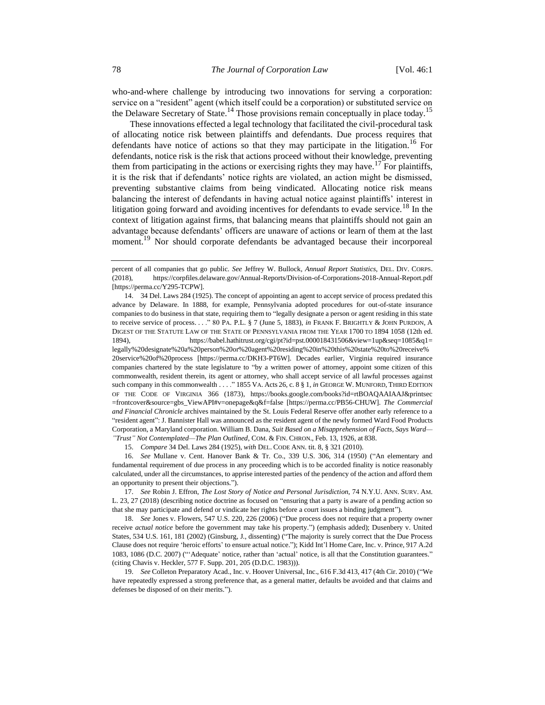who-and-where challenge by introducing two innovations for serving a corporation: service on a "resident" agent (which itself could be a corporation) or substituted service on the Delaware Secretary of State.<sup>14</sup> Those provisions remain conceptually in place today.<sup>15</sup>

<span id="page-3-0"></span>These innovations effected a legal technology that facilitated the civil-procedural task of allocating notice risk between plaintiffs and defendants. Due process requires that defendants have notice of actions so that they may participate in the litigation.<sup>16</sup> For defendants, notice risk is the risk that actions proceed without their knowledge, preventing them from participating in the actions or exercising rights they may have.<sup>17</sup> For plaintiffs, it is the risk that if defendants' notice rights are violated, an action might be dismissed, preventing substantive claims from being vindicated. Allocating notice risk means balancing the interest of defendants in having actual notice against plaintiffs' interest in litigation going forward and avoiding incentives for defendants to evade service.<sup>18</sup> In the context of litigation against firms, that balancing means that plaintiffs should not gain an advantage because defendants' officers are unaware of actions or learn of them at the last moment.<sup>19</sup> Nor should corporate defendants be advantaged because their incorporeal

14. 34 Del. Laws 284 (1925). The concept of appointing an agent to accept service of process predated this advance by Delaware. In 1888, for example, Pennsylvania adopted procedures for out-of-state insurance companies to do business in that state, requiring them to "legally designate a person or agent residing in this state to receive service of process. . . ." 80 PA. P.L. § 7 (June 5, 1883), *in* FRANK F. BRIGHTLY & JOHN PURDON, A DIGEST OF THE STATUTE LAW OF THE STATE OF PENNSYLVANIA FROM THE YEAR 1700 TO 1894 1058 (12th ed. 1894), https://babel.hathitrust.org/cgi/pt?id=pst.000018431506&view=1up&seq=1085&q1= legally%20designate%20a%20person%20or%20agent%20residing%20in%20this%20state%20to%20receive% 20service%20of%20process [https://perma.cc/DKH3-PT6W]. Decades earlier, Virginia required insurance companies chartered by the state legislature to "by a written power of attorney, appoint some citizen of this commonwealth, resident therein, its agent or attorney, who shall accept service of all lawful processes against such company in this commonwealth . . . . " 1855 VA. Acts 26, c. 8 § 1, *in* GEORGE W. MUNFORD, THIRD EDITION OF THE CODE OF VIRGINIA 366 (1873), https://books.google.com/books?id=rtBOAQAAIAAJ&printsec =frontcover&source=gbs\_ViewAPI#v=onepage&q&f=false [https://perma.cc/PB56-CHUW]. *The Commercial and Financial Chronicle* archives maintained by the St. Louis Federal Reserve offer another early reference to a "resident agent": J. Bannister Hall was announced as the resident agent of the newly formed Ward Food Products Corporation, a Maryland corporation. William B. Dana, *Suit Based on a Misapprehension of Facts, Says Ward— "Trust" Not Contemplated—The Plan Outlined*, COM. & FIN. CHRON., Feb. 13, 1926, at 838.

15. *Compare* 34 Del. Laws 284 (1925), *with* DEL. CODE ANN. tit. 8, § 321 (2010).

16. *See* Mullane v. Cent. Hanover Bank & Tr. Co., 339 U.S. 306, 314 (1950) ("An elementary and fundamental requirement of due process in any proceeding which is to be accorded finality is notice reasonably calculated, under all the circumstances, to apprise interested parties of the pendency of the action and afford them an opportunity to present their objections.").

17. *See* Robin J. Effron, *The Lost Story of Notice and Personal Jurisdiction*, 74 N.Y.U. ANN. SURV. AM. L. 23, 27 (2018) (describing notice doctrine as focused on "ensuring that a party is aware of a pending action so that she may participate and defend or vindicate her rights before a court issues a binding judgment").

18. *See* Jones v. Flowers, 547 U.S. 220, 226 (2006) ("Due process does not require that a property owner receive *actual notice* before the government may take his property.") (emphasis added); Dusenbery v. United States, 534 U.S. 161, 181 (2002) (Ginsburg, J., dissenting) ("The majority is surely correct that the Due Process Clause does not require 'heroic efforts' to ensure actual notice."); Kidd Int'l Home Care, Inc. v. Prince, 917 A.2d 1083, 1086 (D.C. 2007) ("'Adequate' notice, rather than 'actual' notice, is all that the Constitution guarantees." (citing Chavis v. Heckler, 577 F. Supp. 201, 205 (D.D.C. 1983))).

19. *See* Colleton Preparatory Acad., Inc. v. Hoover Universal, Inc., 616 F.3d 413, 417 (4th Cir. 2010) ("We have repeatedly expressed a strong preference that, as a general matter, defaults be avoided and that claims and defenses be disposed of on their merits.").

percent of all companies that go public. *See* Jeffrey W. Bullock, *Annual Report Statistics*, DEL. DIV. CORPS. (2018), https://corpfiles.delaware.gov/Annual-Reports/Division-of-Corporations-2018-Annual-Report.pdf [https://perma.cc/Y295-TCPW].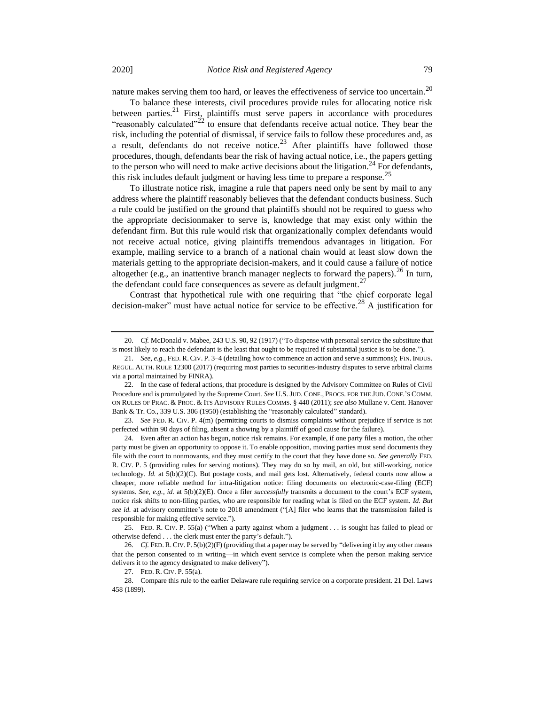nature makes serving them too hard, or leaves the effectiveness of service too uncertain.<sup>20</sup>

<span id="page-4-0"></span>To balance these interests, civil procedures provide rules for allocating notice risk between parties.<sup>21</sup> First, plaintiffs must serve papers in accordance with procedures "reasonably calculated"<sup>22</sup> to ensure that defendants receive actual notice. They bear the risk, including the potential of dismissal, if service fails to follow these procedures and, as a result, defendants do not receive notice.<sup>23</sup> After plaintiffs have followed those procedures, though, defendants bear the risk of having actual notice, i.e., the papers getting to the person who will need to make active decisions about the litigation.<sup>24</sup> For defendants, this risk includes default judgment or having less time to prepare a response.<sup>25</sup>

<span id="page-4-1"></span>To illustrate notice risk, imagine a rule that papers need only be sent by mail to any address where the plaintiff reasonably believes that the defendant conducts business. Such a rule could be justified on the ground that plaintiffs should not be required to guess who the appropriate decisionmaker to serve is, knowledge that may exist only within the defendant firm. But this rule would risk that organizationally complex defendants would not receive actual notice, giving plaintiffs tremendous advantages in litigation. For example, mailing service to a branch of a national chain would at least slow down the materials getting to the appropriate decision-makers, and it could cause a failure of notice altogether (e.g., an inattentive branch manager neglects to forward the papers).<sup>26</sup> In turn, the defendant could face consequences as severe as default judgment.<sup>27</sup>

Contrast that hypothetical rule with one requiring that "the chief corporate legal decision-maker" must have actual notice for service to be effective.<sup>28</sup> A justification for

23. *See* FED. R. CIV. P. 4(m) (permitting courts to dismiss complaints without prejudice if service is not perfected within 90 days of filing, absent a showing by a plaintiff of good cause for the failure).

24. Even after an action has begun, notice risk remains. For example, if one party files a motion, the other party must be given an opportunity to oppose it. To enable opposition, moving parties must send documents they file with the court to nonmovants, and they must certify to the court that they have done so. *See generally* FED. R. CIV. P. 5 (providing rules for serving motions). They may do so by mail, an old, but still-working, notice technology. *Id.* at 5(b)(2)(C). But postage costs, and mail gets lost. Alternatively, federal courts now allow a cheaper, more reliable method for intra-litigation notice: filing documents on electronic-case-filing (ECF) systems. *See, e.g.*, *id.* at 5(b)(2)(E). Once a filer *successfully* transmits a document to the court's ECF system, notice risk shifts to non-filing parties, who are responsible for reading what is filed on the ECF system. *Id. But see id.* at advisory committee's note to 2018 amendment ("[A] filer who learns that the transmission failed is responsible for making effective service.").

25. FED. R. CIV. P. 55(a) ("When a party against whom a judgment . . . is sought has failed to plead or otherwise defend . . . the clerk must enter the party's default.").

27. FED. R. CIV. P. 55(a).

<sup>20.</sup> *Cf.* McDonald v. Mabee, 243 U.S. 90, 92 (1917) ("To dispense with personal service the substitute that is most likely to reach the defendant is the least that ought to be required if substantial justice is to be done.").

<sup>21.</sup> *See, e.g.*, FED. R. CIV. P. 3–4 (detailing how to commence an action and serve a summons); FIN. INDUS. REGUL. AUTH. RULE 12300 (2017) (requiring most parties to securities-industry disputes to serve arbitral claims via a portal maintained by FINRA).

<sup>22.</sup> In the case of federal actions, that procedure is designed by the Advisory Committee on Rules of Civil Procedure and is promulgated by the Supreme Court. *See* U.S. JUD. CONF., PROCS. FOR THE JUD. CONF.'S COMM. ON RULES OF PRAC. & PROC. & ITS ADVISORY RULES COMMS. § 440 (2011); *see also* Mullane v. Cent. Hanover Bank & Tr. Co., 339 U.S. 306 (1950) (establishing the "reasonably calculated" standard).

<sup>26.</sup> *Cf.* FED. R.CIV. P. 5(b)(2)(F) (providing that a paper may be served by "delivering it by any other means that the person consented to in writing—in which event service is complete when the person making service delivers it to the agency designated to make delivery").

<sup>28.</sup> Compare this rule to the earlier Delaware rule requiring service on a corporate president. 21 Del. Laws 458 (1899).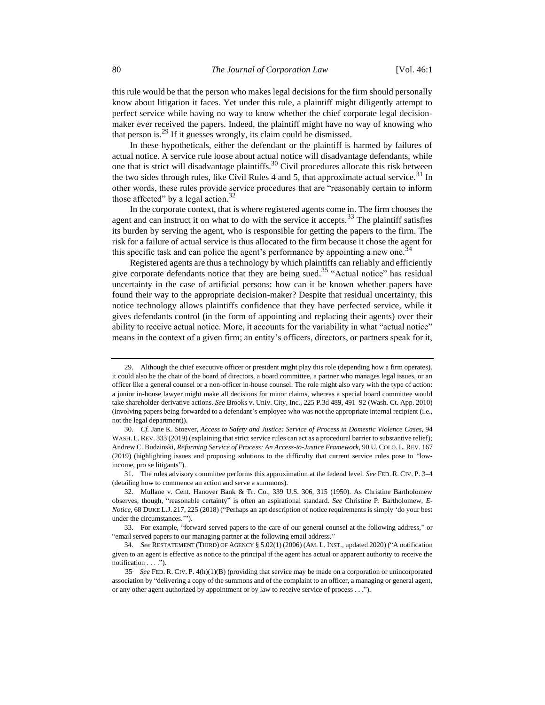this rule would be that the person who makes legal decisions for the firm should personally know about litigation it faces. Yet under this rule, a plaintiff might diligently attempt to perfect service while having no way to know whether the chief corporate legal decisionmaker ever received the papers. Indeed, the plaintiff might have no way of knowing who that person is.<sup>29</sup> If it guesses wrongly, its claim could be dismissed.

In these hypotheticals, either the defendant or the plaintiff is harmed by failures of actual notice. A service rule loose about actual notice will disadvantage defendants, while one that is strict will disadvantage plaintiffs.<sup>30</sup> Civil procedures allocate this risk between the two sides through rules, like Civil Rules 4 and 5, that approximate actual service.<sup>31</sup> In other words, these rules provide service procedures that are "reasonably certain to inform those affected" by a legal action. $32$ 

<span id="page-5-0"></span>In the corporate context, that is where registered agents come in. The firm chooses the agent and can instruct it on what to do with the service it accepts.<sup>33</sup> The plaintiff satisfies its burden by serving the agent, who is responsible for getting the papers to the firm. The risk for a failure of actual service is thus allocated to the firm because it chose the agent for this specific task and can police the agent's performance by appointing a new one.<sup>34</sup>

Registered agents are thus a technology by which plaintiffs can reliably and efficiently give corporate defendants notice that they are being sued.<sup>35</sup> "Actual notice" has residual uncertainty in the case of artificial persons: how can it be known whether papers have found their way to the appropriate decision-maker? Despite that residual uncertainty, this notice technology allows plaintiffs confidence that they have perfected service, while it gives defendants control (in the form of appointing and replacing their agents) over their ability to receive actual notice. More, it accounts for the variability in what "actual notice" means in the context of a given firm; an entity's officers, directors, or partners speak for it,

31. The rules advisory committee performs this approximation at the federal level. *See* FED. R. CIV. P. 3–4 (detailing how to commence an action and serve a summons).

<sup>29.</sup> Although the chief executive officer or president might play this role (depending how a firm operates), it could also be the chair of the board of directors, a board committee, a partner who manages legal issues, or an officer like a general counsel or a non-officer in-house counsel. The role might also vary with the type of action: a junior in-house lawyer might make all decisions for minor claims, whereas a special board committee would take shareholder-derivative actions. *See* Brooks v. Univ. City, Inc*.*, 225 P.3d 489, 491–92 (Wash. Ct. App. 2010) (involving papers being forwarded to a defendant's employee who was not the appropriate internal recipient (i.e., not the legal department)).

<sup>30.</sup> *Cf.* Jane K. Stoever, *Access to Safety and Justice: Service of Process in Domestic Violence Cases*, 94 WASH. L. REV. 333 (2019) (explaining that strict service rules can act as a procedural barrier to substantive relief); Andrew C. Budzinski, *Reforming Service of Process: An Access-to-Justice Framework*, 90 U. COLO. L. REV. 167 (2019) (highlighting issues and proposing solutions to the difficulty that current service rules pose to "lowincome, pro se litigants").

<sup>32.</sup> Mullane v. Cent. Hanover Bank & Tr. Co., 339 U.S. 306, 315 (1950). As Christine Bartholomew observes, though, "reasonable certainty" is often an aspirational standard. *See* Christine P. Bartholomew, *E-Notice*, 68 DUKE L.J. 217, 225 (2018) ("Perhaps an apt description of notice requirements is simply 'do your best under the circumstances.'").

<sup>33.</sup> For example, "forward served papers to the care of our general counsel at the following address," or "email served papers to our managing partner at the following email address."

<sup>34.</sup> *See* RESTATEMENT (THIRD) OF AGENCY § 5.02(1) (2006) (AM. L. INST., updated 2020) ("A notification given to an agent is effective as notice to the principal if the agent has actual or apparent authority to receive the notification . . . .").

<sup>35</sup>. *See* FED. R. CIV. P. 4(h)(1)(B) (providing that service may be made on a corporation or unincorporated association by "delivering a copy of the summons and of the complaint to an officer, a managing or general agent, or any other agent authorized by appointment or by law to receive service of process . . .").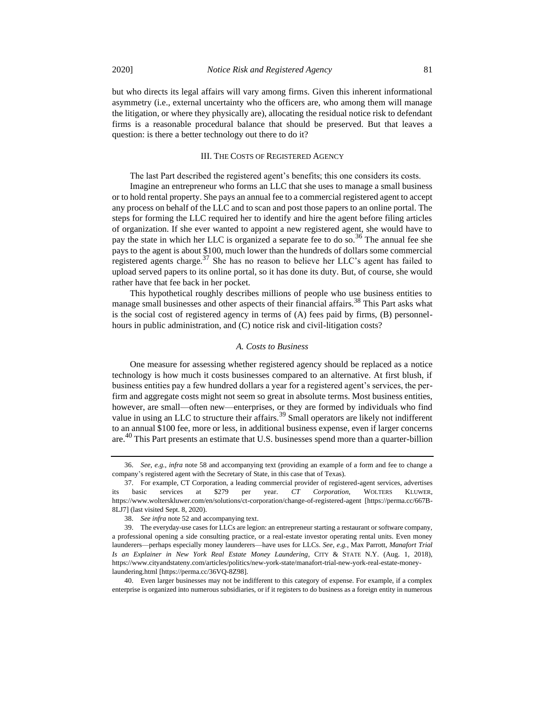but who directs its legal affairs will vary among firms. Given this inherent informational asymmetry (i.e., external uncertainty who the officers are, who among them will manage the litigation, or where they physically are), allocating the residual notice risk to defendant firms is a reasonable procedural balance that should be preserved. But that leaves a question: is there a better technology out there to do it?

### III. THE COSTS OF REGISTERED AGENCY

The last Part described the registered agent's benefits; this one considers its costs.

Imagine an entrepreneur who forms an LLC that she uses to manage a small business or to hold rental property. She pays an annual fee to a commercial registered agent to accept any process on behalf of the LLC and to scan and post those papers to an online portal. The steps for forming the LLC required her to identify and hire the agent before filing articles of organization. If she ever wanted to appoint a new registered agent, she would have to pay the state in which her LLC is organized a separate fee to do so.<sup>36</sup> The annual fee she pays to the agent is about \$100, much lower than the hundreds of dollars some commercial registered agents charge. $37$  She has no reason to believe her LLC's agent has failed to upload served papers to its online portal, so it has done its duty. But, of course, she would rather have that fee back in her pocket.

This hypothetical roughly describes millions of people who use business entities to manage small businesses and other aspects of their financial affairs.<sup>38</sup> This Part asks what is the social cost of registered agency in terms of (A) fees paid by firms, (B) personnelhours in public administration, and (C) notice risk and civil-litigation costs?

#### *A. Costs to Business*

One measure for assessing whether registered agency should be replaced as a notice technology is how much it costs businesses compared to an alternative. At first blush, if business entities pay a few hundred dollars a year for a registered agent's services, the perfirm and aggregate costs might not seem so great in absolute terms. Most business entities, however, are small—often new—enterprises, or they are formed by individuals who find value in using an LLC to structure their affairs.<sup>39</sup> Small operators are likely not indifferent to an annual \$100 fee, more or less, in additional business expense, even if larger concerns are.<sup>40</sup> This Part presents an estimate that U.S. businesses spend more than a quarter-billion

<sup>36.</sup> *See, e.g.*, *infra* note [58](#page-10-0) and accompanying text (providing an example of a form and fee to change a company's registered agent with the Secretary of State, in this case that of Texas).

<sup>37.</sup> For example, CT Corporation, a leading commercial provider of registered-agent services, advertises its basic services at \$279 per year. *CT Corporation*, WOLTERS KLUWER, https://www.wolterskluwer.com/en/solutions/ct-corporation/change-of-registered-agent [https://perma.cc/667B-8LJ7] (last visited Sept. 8, 2020).

<sup>38.</sup> *See infra* not[e 52](#page-9-0) and accompanying text.

<sup>39.</sup> The everyday-use cases for LLCs are legion: an entrepreneur starting a restaurant or software company, a professional opening a side consulting practice, or a real-estate investor operating rental units. Even money launderers—perhaps especially money launderers—have uses for LLCs. *See, e.g.*, Max Parrott, *Manafort Trial Is an Explainer in New York Real Estate Money Laundering*, CITY & STATE N.Y. (Aug. 1, 2018), https://www.cityandstateny.com/articles/politics/new-york-state/manafort-trial-new-york-real-estate-moneylaundering.html [https://perma.cc/36VQ-8Z98].

<sup>40.</sup> Even larger businesses may not be indifferent to this category of expense. For example, if a complex enterprise is organized into numerous subsidiaries, or if it registers to do business as a foreign entity in numerous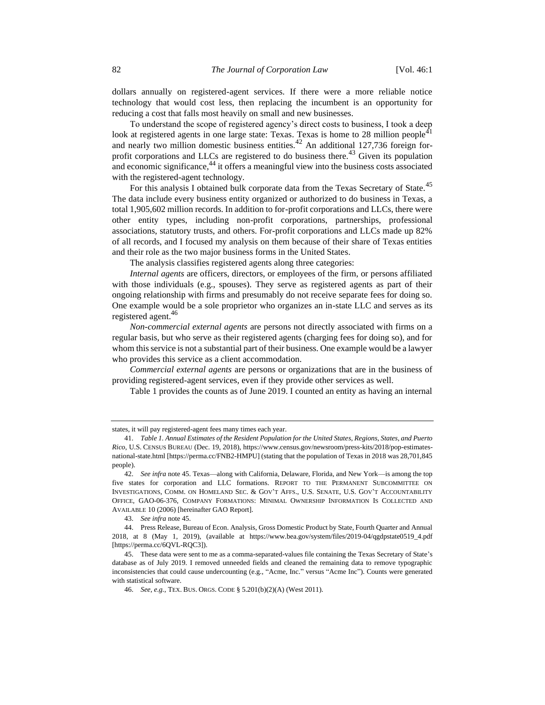dollars annually on registered-agent services. If there were a more reliable notice technology that would cost less, then replacing the incumbent is an opportunity for reducing a cost that falls most heavily on small and new businesses.

<span id="page-7-1"></span>To understand the scope of registered agency's direct costs to business, I took a deep look at registered agents in one large state: Texas. Texas is home to 28 million people $41$ and nearly two million domestic business entities.<sup>42</sup> An additional 127,736 foreign forprofit corporations and LLCs are registered to do business there.<sup>43</sup> Given its population and economic significance,<sup>44</sup> it offers a meaningful view into the business costs associated with the registered-agent technology.

For this analysis I obtained bulk corporate data from the Texas Secretary of State.<sup>45</sup> The data include every business entity organized or authorized to do business in Texas, a total 1,905,602 million records. In addition to for-profit corporations and LLCs, there were other entity types, including non-profit corporations, partnerships, professional associations, statutory trusts, and others. For-profit corporations and LLCs made up 82% of all records, and I focused my analysis on them because of their share of Texas entities and their role as the two major business forms in the United States.

<span id="page-7-0"></span>The analysis classifies registered agents along three categories:

*Internal agents* are officers, directors, or employees of the firm, or persons affiliated with those individuals (e.g., spouses). They serve as registered agents as part of their ongoing relationship with firms and presumably do not receive separate fees for doing so. One example would be a sole proprietor who organizes an in-state LLC and serves as its registered agent.<sup>46</sup>

*Non-commercial external agents* are persons not directly associated with firms on a regular basis, but who serve as their registered agents (charging fees for doing so), and for whom this service is not a substantial part of their business. One example would be a lawyer who provides this service as a client accommodation.

*Commercial external agents* are persons or organizations that are in the business of providing registered-agent services, even if they provide other services as well.

Table 1 provides the counts as of June 2019. I counted an entity as having an internal

states, it will pay registered-agent fees many times each year.

<sup>41.</sup> *Table 1. Annual Estimates of the Resident Population for the United States, Regions, States, and Puerto Rico*, U.S. CENSUS BUREAU (Dec. 19, 2018), https://www.census.gov/newsroom/press-kits/2018/pop-estimatesnational-state.html [https://perma.cc/FNB2-HMPU] (stating that the population of Texas in 2018 was 28,701,845 people).

<sup>42.</sup> *See infra* not[e 45.](#page-7-0) Texas—along with California, Delaware, Florida, and New York—is among the top five states for corporation and LLC formations. REPORT TO THE PERMANENT SUBCOMMITTEE ON INVESTIGATIONS, COMM. ON HOMELAND SEC. & GOV'T AFFS., U.S. SENATE, U.S. GOV'T ACCOUNTABILITY OFFICE, GAO-06-376, COMPANY FORMATIONS: MINIMAL OWNERSHIP INFORMATION IS COLLECTED AND AVAILABLE 10 (2006) [hereinafter GAO Report].

<sup>43.</sup> *See infra* note 45.

<sup>44.</sup> Press Release, Bureau of Econ. Analysis, Gross Domestic Product by State, Fourth Quarter and Annual 2018, at 8 (May 1, 2019), (available at https://www.bea.gov/system/files/2019-04/qgdpstate0519\_4.pdf [https://perma.cc/6QVL-RQC3]).

<sup>45.</sup> These data were sent to me as a comma-separated-values file containing the Texas Secretary of State's database as of July 2019. I removed unneeded fields and cleaned the remaining data to remove typographic inconsistencies that could cause undercounting (e.g., "Acme, Inc." versus "Acme Inc"). Counts were generated with statistical software.

<sup>46.</sup> *See, e.g.*, TEX. BUS. ORGS. CODE § 5.201(b)(2)(A) (West 2011).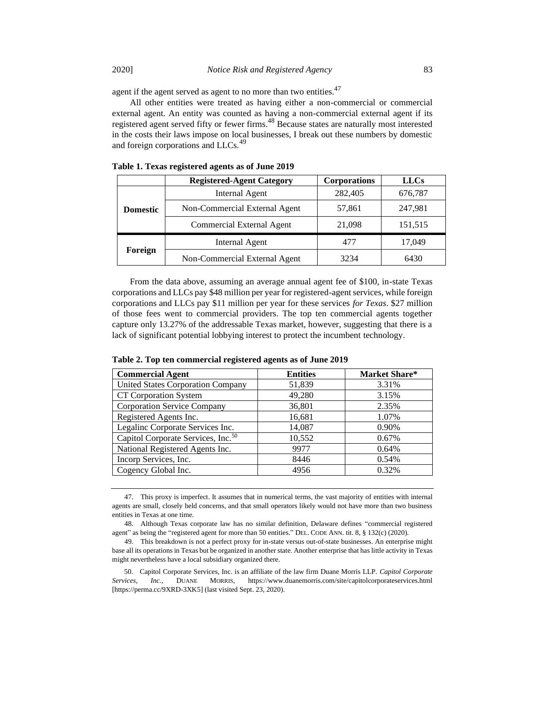agent if the agent served as agent to no more than two entities.<sup>47</sup>

All other entities were treated as having either a non-commercial or commercial external agent. An entity was counted as having a non-commercial external agent if its registered agent served fifty or fewer firms.<sup>48</sup> Because states are naturally most interested in the costs their laws impose on local businesses, I break out these numbers by domestic and foreign corporations and LLCs.<sup>49</sup>

|                 | <b>Registered-Agent Category</b> | <b>Corporations</b> | <b>LLCs</b> |
|-----------------|----------------------------------|---------------------|-------------|
|                 | Internal Agent                   | 282,405             | 676,787     |
| <b>Domestic</b> | Non-Commercial External Agent    | 57,861              | 247,981     |
|                 | Commercial External Agent        | 21,098              | 151,515     |
|                 | Internal Agent                   | 477                 | 17,049      |
| Foreign         | Non-Commercial External Agent    | 3234                | 6430        |

**Table 1. Texas registered agents as of June 2019** 

From the data above, assuming an average annual agent fee of \$100, in-state Texas corporations and LLCs pay \$48 million per year for registered-agent services, while foreign corporations and LLCs pay \$11 million per year for these services *for Texas*. \$27 million of those fees went to commercial providers. The top ten commercial agents together capture only 13.27% of the addressable Texas market, however, suggesting that there is a lack of significant potential lobbying interest to protect the incumbent technology.

| <b>Commercial Agent</b>                        | <b>Entities</b> | Market Share* |
|------------------------------------------------|-----------------|---------------|
| <b>United States Corporation Company</b>       | 51,839          | 3.31%         |
| CT Corporation System                          | 49,280          | 3.15%         |
| <b>Corporation Service Company</b>             | 36,801          | 2.35%         |
| Registered Agents Inc.                         | 16,681          | 1.07%         |
| Legalinc Corporate Services Inc.               | 14,087          | 0.90%         |
| Capitol Corporate Services, Inc. <sup>50</sup> | 10,552          | 0.67%         |
| National Registered Agents Inc.                | 9977            | 0.64%         |
| Incorp Services, Inc.                          | 8446            | 0.54%         |
| Cogency Global Inc.                            | 4956            | 0.32%         |

**Table 2. Top ten commercial registered agents as of June 2019**

<sup>47.</sup> This proxy is imperfect. It assumes that in numerical terms, the vast majority of entities with internal agents are small, closely held concerns, and that small operators likely would not have more than two business entities in Texas at one time.

<sup>48.</sup> Although Texas corporate law has no similar definition, Delaware defines "commercial registered agent" as being the "registered agent for more than 50 entities." DEL. CODE ANN. tit. 8, § 132(c) (2020).

<sup>49.</sup> This breakdown is not a perfect proxy for in-state versus out-of-state businesses. An enterprise might base all its operations in Texas but be organized in another state. Another enterprise that has little activity in Texas might nevertheless have a local subsidiary organized there.

<sup>50.</sup> Capitol Corporate Services, Inc. is an affiliate of the law firm Duane Morris LLP. *Capitol Corporate Services, Inc.*, DUANE MORRIS, https://www.duanemorris.com/site/capitolcorporateservices.html [https://perma.cc/9XRD-3XK5] (last visited Sept. 23, 2020).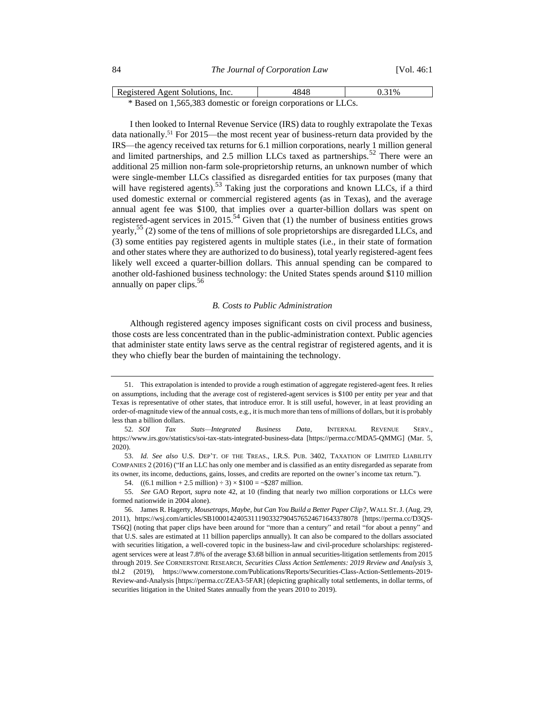| 84 | The Journal of Corporation Law | [Vol. 46:1] |
|----|--------------------------------|-------------|
|    |                                |             |

| Registered Agent Solutions, Inc.                               | 4848 | 0.31% |  |
|----------------------------------------------------------------|------|-------|--|
| * Based on 1,565,383 domestic or foreign corporations or LLCs. |      |       |  |

I then looked to Internal Revenue Service (IRS) data to roughly extrapolate the Texas data nationally.<sup>51</sup> For 2015—the most recent year of business-return data provided by the IRS—the agency received tax returns for 6.1 million corporations, nearly 1 million general and limited partnerships, and 2.5 million LLCs taxed as partnerships.<sup>52</sup> There were an additional 25 million non-farm sole-proprietorship returns, an unknown number of which were single-member LLCs classified as disregarded entities for tax purposes (many that will have registered agents).<sup>53</sup> Taking just the corporations and known LLCs, if a third used domestic external or commercial registered agents (as in Texas), and the average annual agent fee was \$100, that implies over a quarter-billion dollars was spent on registered-agent services in 2015.<sup>54</sup> Given that (1) the number of business entities grows yearly,  $55$  (2) some of the tens of millions of sole proprietorships are disregarded LLCs, and (3) some entities pay registered agents in multiple states (i.e., in their state of formation and other states where they are authorized to do business), total yearly registered-agent fees likely well exceed a quarter-billion dollars. This annual spending can be compared to another old-fashioned business technology: the United States spends around \$110 million annually on paper clips.<sup>56</sup>

#### <span id="page-9-1"></span><span id="page-9-0"></span>*B. Costs to Public Administration*

Although registered agency imposes significant costs on civil process and business, those costs are less concentrated than in the public-administration context. Public agencies that administer state entity laws serve as the central registrar of registered agents, and it is they who chiefly bear the burden of maintaining the technology.

<sup>51.</sup> This extrapolation is intended to provide a rough estimation of aggregate registered-agent fees. It relies on assumptions, including that the average cost of registered-agent services is \$100 per entity per year and that Texas is representative of other states, that introduce error. It is still useful, however, in at least providing an order-of-magnitude view of the annual costs, e.g., it is much more than tens of millions of dollars, but it is probably less than a billion dollars.

<sup>52</sup>*. SOI Tax Stats—Integrated Business Data*, INTERNAL REVENUE SERV., https://www.irs.gov/statistics/soi-tax-stats-integrated-business-data [https://perma.cc/MDA5-QMMG] (Mar. 5, 2020).

<sup>53.</sup> *Id. See also* U.S. DEP'T. OF THE TREAS., I.R.S. PUB. 3402, TAXATION OF LIMITED LIABILITY COMPANIES 2 (2016) ("If an LLC has only one member and is classified as an entity disregarded as separate from its owner, its income, deductions, gains, losses, and credits are reported on the owner's income tax return.").

<sup>54.</sup>  $((6.1 \text{ million} + 2.5 \text{ million}) \div 3) \times $100 = $287 \text{ million}.$ 

<sup>55.</sup> *See* GAO Report, *supra* note [42,](#page-7-1) at 10 (finding that nearly two million corporations or LLCs were formed nationwide in 2004 alone).

<sup>56.</sup> James R. Hagerty, *Mousetraps, Maybe, but Can You Build a Better Paper Clip?*, WALL ST.J. (Aug. 29, 2011), https://wsj.com/articles/SB10001424053111903327904576524671643378078 [https://perma.cc/D3QS-TS6Q] (noting that paper clips have been around for "more than a century" and retail "for about a penny" and that U.S. sales are estimated at 11 billion paperclips annually). It can also be compared to the dollars associated with securities litigation, a well-covered topic in the business-law and civil-procedure scholarships: registeredagent services were at least 7.8% of the average \$3.68 billion in annual securities-litigation settlements from 2015 through 2019. *See* CORNERSTONE RESEARCH, *Securities Class Action Settlements: 2019 Review and Analysis* 3, tbl.2 (2019), https://www.cornerstone.com/Publications/Reports/Securities-Class-Action-Settlements-2019- Review-and-Analysis [https://perma.cc/ZEA3-5FAR] (depicting graphically total settlements, in dollar terms, of securities litigation in the United States annually from the years 2010 to 2019).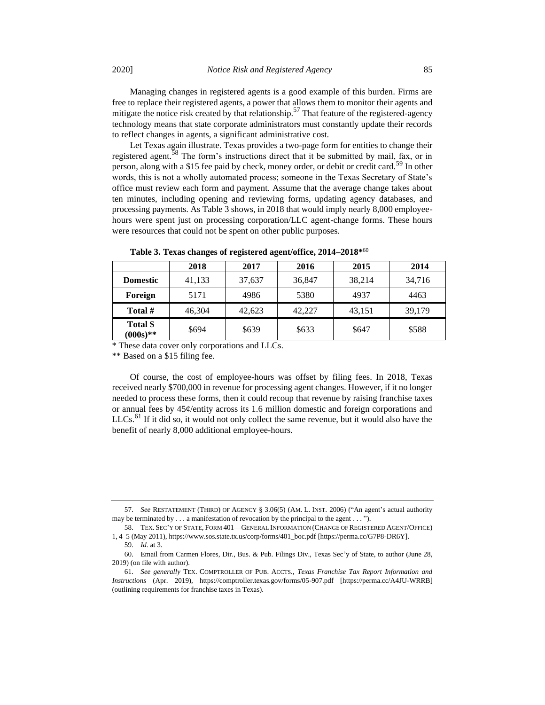Managing changes in registered agents is a good example of this burden. Firms are free to replace their registered agents, a power that allows them to monitor their agents and mitigate the notice risk created by that relationship.<sup>57</sup> That feature of the registered-agency technology means that state corporate administrators must constantly update their records to reflect changes in agents, a significant administrative cost.

<span id="page-10-0"></span>Let Texas again illustrate. Texas provides a two-page form for entities to change their registered agent.<sup>58</sup> The form's instructions direct that it be submitted by mail, fax, or in person, along with a \$15 fee paid by check, money order, or debit or credit card.<sup>59</sup> In other words, this is not a wholly automated process; someone in the Texas Secretary of State's office must review each form and payment. Assume that the average change takes about ten minutes, including opening and reviewing forms, updating agency databases, and processing payments. As Table 3 shows, in 2018 that would imply nearly 8,000 employeehours were spent just on processing corporation/LLC agent-change forms. These hours were resources that could not be spent on other public purposes.

|                         | 2018   | 2017   | 2016   | 2015   | 2014   |
|-------------------------|--------|--------|--------|--------|--------|
| <b>Domestic</b>         | 41,133 | 37,637 | 36,847 | 38,214 | 34,716 |
| Foreign                 | 5171   | 4986   | 5380   | 4937   | 4463   |
| Total #                 | 46,304 | 42,623 | 42,227 | 43,151 | 39,179 |
| Total \$<br>$(000s)$ ** | \$694  | \$639  | \$633  | \$647  | \$588  |

**Table 3. Texas changes of registered agent/office, 2014–2018\*** 60

\* These data cover only corporations and LLCs.

\*\* Based on a \$15 filing fee.

Of course, the cost of employee-hours was offset by filing fees. In 2018, Texas received nearly \$700,000 in revenue for processing agent changes. However, if it no longer needed to process these forms, then it could recoup that revenue by raising franchise taxes or annual fees by 45¢/entity across its 1.6 million domestic and foreign corporations and  $LLCs$ <sup> $61$ </sup> If it did so, it would not only collect the same revenue, but it would also have the benefit of nearly 8,000 additional employee-hours.

<sup>57.</sup> *See* RESTATEMENT (THIRD) OF AGENCY § 3.06(5) (AM. L. INST. 2006) ("An agent's actual authority may be terminated by . . . a manifestation of revocation by the principal to the agent . . . ").

<sup>58.</sup> TEX. SEC'Y OF STATE, FORM 401—GENERAL INFORMATION (CHANGE OF REGISTERED AGENT/OFFICE) 1, 4–5 (May 2011), https://www.sos.state.tx.us/corp/forms/401\_boc.pdf [https://perma.cc/G7P8-DR6Y].

<sup>59.</sup> *Id.* at 3.

<sup>60.</sup> Email from Carmen Flores, Dir., Bus. & Pub. Filings Div., Texas Sec'y of State, to author (June 28, 2019) (on file with author).

<sup>61.</sup> *See generally* TEX. COMPTROLLER OF PUB. ACCTS., *Texas Franchise Tax Report Information and Instructions* (Apr. 2019), https://comptroller.texas.gov/forms/05-907.pdf [https://perma.cc/A4JU-WRRB] (outlining requirements for franchise taxes in Texas).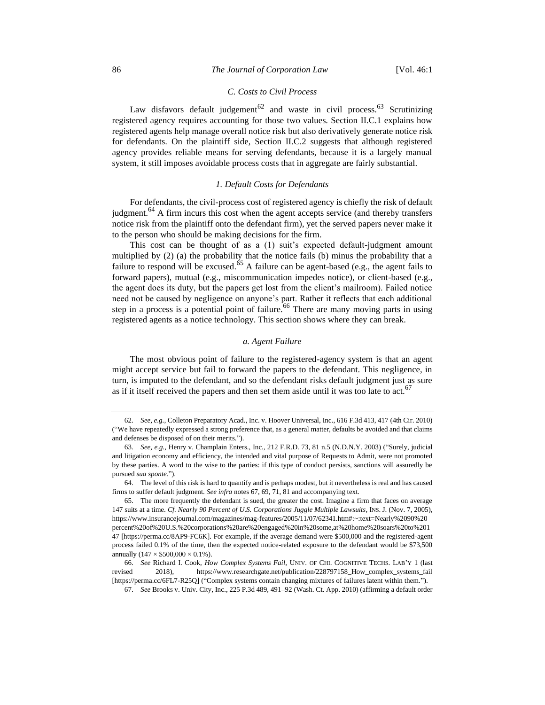## *C. Costs to Civil Process*

Law disfavors default judgement<sup>62</sup> and waste in civil process.<sup>63</sup> Scrutinizing registered agency requires accounting for those two values. Section II.C.1 explains how registered agents help manage overall notice risk but also derivatively generate notice risk for defendants. On the plaintiff side, Section II.C.2 suggests that although registered agency provides reliable means for serving defendants, because it is a largely manual system, it still imposes avoidable process costs that in aggregate are fairly substantial.

## *1. Default Costs for Defendants*

For defendants, the civil-process cost of registered agency is chiefly the risk of default judgment.<sup>64</sup> A firm incurs this cost when the agent accepts service (and thereby transfers notice risk from the plaintiff onto the defendant firm), yet the served papers never make it to the person who should be making decisions for the firm.

This cost can be thought of as a (1) suit's expected default-judgment amount multiplied by (2) (a) the probability that the notice fails (b) minus the probability that a failure to respond will be excused.<sup>65</sup> A failure can be agent-based (e.g., the agent fails to forward papers), mutual (e.g., miscommunication impedes notice), or client-based (e.g., the agent does its duty, but the papers get lost from the client's mailroom). Failed notice need not be caused by negligence on anyone's part. Rather it reflects that each additional step in a process is a potential point of failure.<sup>66</sup> There are many moving parts in using registered agents as a notice technology. This section shows where they can break.

## <span id="page-11-0"></span>*a. Agent Failure*

The most obvious point of failure to the registered-agency system is that an agent might accept service but fail to forward the papers to the defendant. This negligence, in turn, is imputed to the defendant, and so the defendant risks default judgment just as sure as if it itself received the papers and then set them aside until it was too late to act.<sup>67</sup>

<sup>62.</sup> *See, e.g.*, Colleton Preparatory Acad., Inc. v. Hoover Universal, Inc., 616 F.3d 413, 417 (4th Cir. 2010) ("We have repeatedly expressed a strong preference that, as a general matter, defaults be avoided and that claims and defenses be disposed of on their merits.").

<sup>63.</sup> *See, e.g.*, Henry v. Champlain Enters., Inc., 212 F.R.D. 73, 81 n.5 (N.D.N.Y. 2003) ("Surely, judicial and litigation economy and efficiency, the intended and vital purpose of Requests to Admit, were not promoted by these parties. A word to the wise to the parties: if this type of conduct persists, sanctions will assuredly be pursued *sua sponte*.").

<sup>64.</sup> The level of this risk is hard to quantify and is perhaps modest, but it nevertheless is real and has caused firms to suffer default judgment. *See infra* note[s 67,](#page-11-0) [69,](#page-12-0) [71,](#page-12-1) [81](#page-13-0) and accompanying text.

<sup>65.</sup> The more frequently the defendant is sued, the greater the cost. Imagine a firm that faces on average 147 suits at a time. *Cf. Nearly 90 Percent of U.S. Corporations Juggle Multiple Lawsuits*, INS. J. (Nov. 7, 2005), https://www.insurancejournal.com/magazines/mag-features/2005/11/07/62341.htm#:~:text=Nearly%2090%20 percent%20of%20U.S.%20corporations%20are%20engaged%20in%20some,at%20home%20soars%20to%201 47 [https://perma.cc/8AP9-FC6K]. For example, if the average demand were \$500,000 and the registered-agent process failed 0.1% of the time, then the expected notice-related exposure to the defendant would be \$73,500 annually  $(147 \times $500,000 \times 0.1\%)$ .

<sup>66.</sup> *See* Richard I. Cook, *How Complex Systems Fail*, UNIV. OF CHI. COGNITIVE TECHS. LAB'Y 1 (last revised 2018), https://www.researchgate.net/publication/228797158\_How\_complex\_systems\_fail [https://perma.cc/6FL7-R25Q] ("Complex systems contain changing mixtures of failures latent within them.").

<sup>67.</sup> *See* Brooks v. Univ. City, Inc., 225 P.3d 489, 491–92 (Wash. Ct. App. 2010) (affirming a default order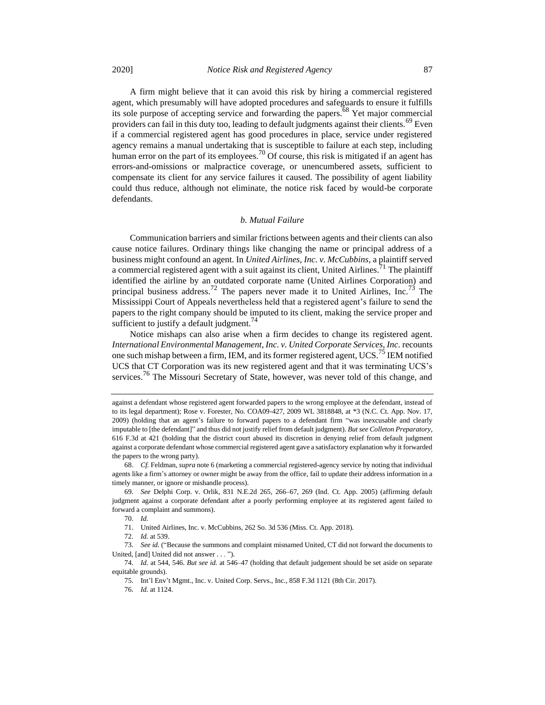A firm might believe that it can avoid this risk by hiring a commercial registered agent, which presumably will have adopted procedures and safeguards to ensure it fulfills its sole purpose of accepting service and forwarding the papers.<sup>68</sup> Yet major commercial providers can fail in this duty too, leading to default judgments against their clients.<sup>69</sup> Even if a commercial registered agent has good procedures in place, service under registered agency remains a manual undertaking that is susceptible to failure at each step, including human error on the part of its employees.<sup>70</sup> Of course, this risk is mitigated if an agent has errors-and-omissions or malpractice coverage, or unencumbered assets, sufficient to compensate its client for any service failures it caused. The possibility of agent liability could thus reduce, although not eliminate, the notice risk faced by would-be corporate defendants.

### <span id="page-12-1"></span><span id="page-12-0"></span>*b. Mutual Failure*

Communication barriers and similar frictions between agents and their clients can also cause notice failures. Ordinary things like changing the name or principal address of a business might confound an agent. In *United Airlines, Inc. v. McCubbins*, a plaintiff served a commercial registered agent with a suit against its client, United Airlines.<sup>71</sup> The plaintiff identified the airline by an outdated corporate name (United Airlines Corporation) and principal business address.<sup>72</sup> The papers never made it to United Airlines, Inc.<sup>73</sup> The Mississippi Court of Appeals nevertheless held that a registered agent's failure to send the papers to the right company should be imputed to its client, making the service proper and sufficient to justify a default judgment.<sup>74</sup>

Notice mishaps can also arise when a firm decides to change its registered agent. *International Environmental Management, Inc. v. United Corporate Services, Inc. recounts* one such mishap between a firm, IEM, and its former registered agent, UCS.<sup>75</sup> IEM notified UCS that CT Corporation was its new registered agent and that it was terminating UCS's services.<sup>76</sup> The Missouri Secretary of State, however, was never told of this change, and

73. *See id.* ("Because the summons and complaint misnamed United, CT did not forward the documents to United, [and] United did not answer . . . ").

against a defendant whose registered agent forwarded papers to the wrong employee at the defendant, instead of to its legal department); Rose v. Forester, No. COA09-427, 2009 WL 3818848, at \*3 (N.C. Ct. App. Nov. 17, 2009) (holding that an agent's failure to forward papers to a defendant firm "was inexcusable and clearly imputable to [the defendant]" and thus did not justify relief from default judgment). *But see Colleton Preparatory*, 616 F.3d at 421 (holding that the district court abused its discretion in denying relief from default judgment against a corporate defendant whose commercial registered agent gave a satisfactory explanation why it forwarded the papers to the wrong party).

<sup>68.</sup> *Cf.* Feldman, *supra* not[e 6](#page-1-0) (marketing a commercial registered-agency service by noting that individual agents like a firm's attorney or owner might be away from the office, fail to update their address information in a timely manner, or ignore or mishandle process).

<sup>69.</sup> *See* Delphi Corp. v. Orlik, 831 N.E.2d 265, 266–67, 269 (Ind. Ct. App. 2005) (affirming default judgment against a corporate defendant after a poorly performing employee at its registered agent failed to forward a complaint and summons).

<sup>70.</sup> *Id.*

<sup>71.</sup> United Airlines, Inc. v. McCubbins, 262 So. 3d 536 (Miss. Ct. App. 2018).

<sup>72.</sup> *Id.* at 539.

<sup>74.</sup> *Id.* at 544, 546. *But see id.* at 546–47 (holding that default judgement should be set aside on separate equitable grounds).

<sup>75.</sup> Int'l Env't Mgmt., Inc. v. United Corp. Servs., Inc., 858 F.3d 1121 (8th Cir. 2017).

<sup>76.</sup> *Id.* at 1124.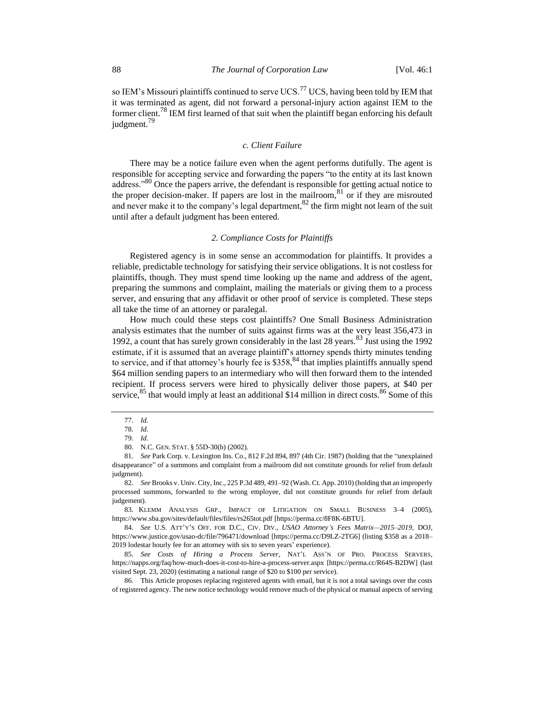so IEM's Missouri plaintiffs continued to serve UCS.<sup>77</sup> UCS, having been told by IEM that it was terminated as agent, did not forward a personal-injury action against IEM to the former client.<sup>78</sup> IEM first learned of that suit when the plaintiff began enforcing his default judgment.<sup>79</sup>

### <span id="page-13-0"></span>*c. Client Failure*

There may be a notice failure even when the agent performs dutifully. The agent is responsible for accepting service and forwarding the papers "to the entity at its last known address."<sup>80</sup> Once the papers arrive, the defendant is responsible for getting actual notice to the proper decision-maker. If papers are lost in the mailroom, $81$  or if they are misrouted and never make it to the company's legal department,  $82$  the firm might not learn of the suit until after a default judgment has been entered.

#### *2. Compliance Costs for Plaintiffs*

Registered agency is in some sense an accommodation for plaintiffs. It provides a reliable, predictable technology for satisfying their service obligations. It is not costless for plaintiffs, though. They must spend time looking up the name and address of the agent, preparing the summons and complaint, mailing the materials or giving them to a process server, and ensuring that any affidavit or other proof of service is completed. These steps all take the time of an attorney or paralegal.

How much could these steps cost plaintiffs? One Small Business Administration analysis estimates that the number of suits against firms was at the very least 356,473 in 1992, a count that has surely grown considerably in the last 28 years. $83$  Just using the 1992 estimate, if it is assumed that an average plaintiff's attorney spends thirty minutes tending to service, and if that attorney's hourly fee is \$358,<sup>84</sup> that implies plaintiffs annually spend \$64 million sending papers to an intermediary who will then forward them to the intended recipient. If process servers were hired to physically deliver those papers, at \$40 per service, <sup>85</sup> that would imply at least an additional \$14 million in direct costs. <sup>86</sup> Some of this

81. *See* Park Corp. v. Lexington Ins. Co., 812 F.2d 894, 897 (4th Cir. 1987) (holding that the "unexplained disappearance" of a summons and complaint from a mailroom did not constitute grounds for relief from default judgment).

82. *See* Brooks v. Univ. City, Inc., 225 P.3d 489, 491–92 (Wash. Ct. App. 2010) (holding that an improperly processed summons, forwarded to the wrong employee, did not constitute grounds for relief from default judgement).

83. KLEMM ANALYSIS GRP., IMPACT OF LITIGATION ON SMALL BUSINESS 3–4 (2005), https://www.sba.gov/sites/default/files/files/rs265tot.pdf [https://perma.cc/8F8K-6BTU].

84. *See* U.S. ATT'Y'S OFF. FOR D.C., CIV. DIV., *USAO Attorney's Fees Matrix—2015*–*2019*, DOJ, https://www.justice.gov/usao-dc/file/796471/download [https://perma.cc/D9LZ-2TG6] (listing \$358 as a 2018– 2019 lodestar hourly fee for an attorney with six to seven years' experience).

85. *See Costs of Hiring a Process Server*, NAT'L ASS'N OF PRO. PROCESS SERVERS, https://napps.org/faq/how-much-does-it-cost-to-hire-a-process-server.aspx [https://perma.cc/R64S-B2DW] (last visited Sept. 23, 2020) (estimating a national range of \$20 to \$100 per service).

86. This Article proposes replacing registered agents with email, but it is not a total savings over the costs of registered agency. The new notice technology would remove much of the physical or manual aspects of serving

<sup>77.</sup> *Id.*

<sup>78.</sup> *Id.*

<sup>79.</sup> *Id.*

<sup>80.</sup> N.C. GEN. STAT. § 55D-30(b) (2002).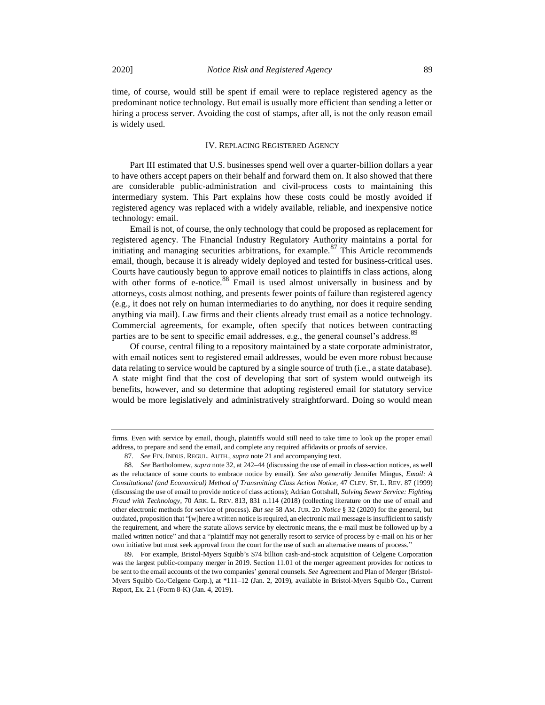time, of course, would still be spent if email were to replace registered agency as the predominant notice technology. But email is usually more efficient than sending a letter or hiring a process server. Avoiding the cost of stamps, after all, is not the only reason email is widely used.

## IV. REPLACING REGISTERED AGENCY

Part III estimated that U.S. businesses spend well over a quarter-billion dollars a year to have others accept papers on their behalf and forward them on. It also showed that there are considerable public-administration and civil-process costs to maintaining this intermediary system. This Part explains how these costs could be mostly avoided if registered agency was replaced with a widely available, reliable, and inexpensive notice technology: email.

<span id="page-14-0"></span>Email is not, of course, the only technology that could be proposed as replacement for registered agency. The Financial Industry Regulatory Authority maintains a portal for initiating and managing securities arbitrations, for example.  $87$  This Article recommends email, though, because it is already widely deployed and tested for business-critical uses. Courts have cautiously begun to approve email notices to plaintiffs in class actions, along with other forms of e-notice.<sup>88</sup> Email is used almost universally in business and by attorneys, costs almost nothing, and presents fewer points of failure than registered agency (e.g., it does not rely on human intermediaries to do anything, nor does it require sending anything via mail). Law firms and their clients already trust email as a notice technology. Commercial agreements, for example, often specify that notices between contracting parties are to be sent to specific email addresses, e.g., the general counsel's address.<sup>89</sup>

Of course, central filing to a repository maintained by a state corporate administrator, with email notices sent to registered email addresses, would be even more robust because data relating to service would be captured by a single source of truth (i.e., a state database). A state might find that the cost of developing that sort of system would outweigh its benefits, however, and so determine that adopting registered email for statutory service would be more legislatively and administratively straightforward. Doing so would mean

firms. Even with service by email, though, plaintiffs would still need to take time to look up the proper email address, to prepare and send the email, and complete any required affidavits or proofs of service.

<sup>87</sup>*. See* FIN. INDUS. REGUL. AUTH., *supra* not[e 21](#page-4-0) and accompanying text.

<sup>88.</sup> *See* Bartholomew, *supra* not[e 32,](#page-5-0) at 242–44 (discussing the use of email in class-action notices, as well as the reluctance of some courts to embrace notice by email). *See also generally* Jennifer Mingus, *Email: A Constitutional (and Economical) Method of Transmitting Class Action Notice,* 47 CLEV. ST. L. REV. 87 (1999) (discussing the use of email to provide notice of class actions); Adrian Gottshall, *Solving Sewer Service: Fighting Fraud with Technology*, 70 ARK. L. REV. 813, 831 n.114 (2018) (collecting literature on the use of email and other electronic methods for service of process). *But see* 58 AM. JUR. 2D *Notice* § 32 (2020) for the general, but outdated, proposition that "[w]here a written notice is required, an electronic mail message is insufficient to satisfy the requirement, and where the statute allows service by electronic means, the e-mail must be followed up by a mailed written notice" and that a "plaintiff may not generally resort to service of process by e-mail on his or her own initiative but must seek approval from the court for the use of such an alternative means of process."

<sup>89.</sup> For example, Bristol-Myers Squibb's \$74 billion cash-and-stock acquisition of Celgene Corporation was the largest public-company merger in 2019. Section 11.01 of the merger agreement provides for notices to be sent to the email accounts of the two companies' general counsels. *See* Agreement and Plan of Merger (Bristol-Myers Squibb Co./Celgene Corp.), at \*111–12 (Jan. 2, 2019), available in Bristol-Myers Squibb Co., Current Report, Ex. 2.1 (Form 8-K) (Jan. 4, 2019).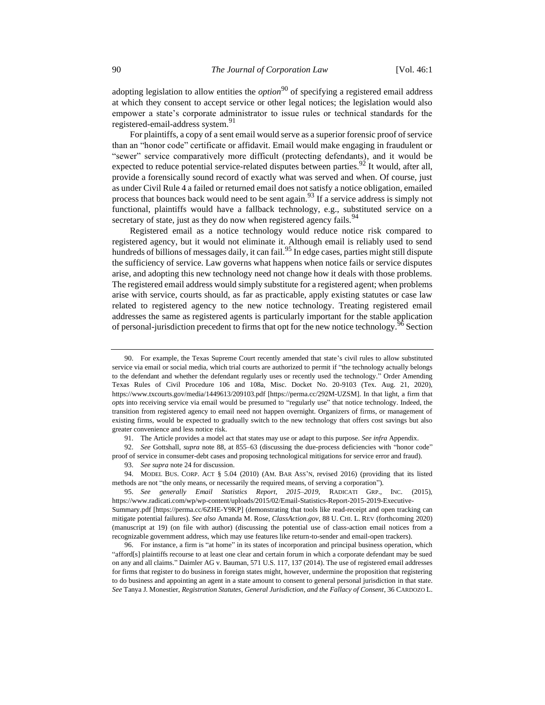adopting legislation to allow entities the *option*<sup>90</sup> of specifying a registered email address at which they consent to accept service or other legal notices; the legislation would also empower a state's corporate administrator to issue rules or technical standards for the registered-email-address system.<sup>91</sup>

For plaintiffs, a copy of a sent email would serve as a superior forensic proof of service than an "honor code" certificate or affidavit. Email would make engaging in fraudulent or "sewer" service comparatively more difficult (protecting defendants), and it would be expected to reduce potential service-related disputes between parties.  $92$  It would, after all, provide a forensically sound record of exactly what was served and when. Of course, just as under Civil Rule 4 a failed or returned email does not satisfy a notice obligation, emailed process that bounces back would need to be sent again.<sup>93</sup> If a service address is simply not functional, plaintiffs would have a fallback technology, e.g., substituted service on a secretary of state, just as they do now when registered agency fails.<sup>94</sup>

Registered email as a notice technology would reduce notice risk compared to registered agency, but it would not eliminate it. Although email is reliably used to send hundreds of billions of messages daily, it can fail.<sup>95</sup> In edge cases, parties might still dispute the sufficiency of service. Law governs what happens when notice fails or service disputes arise, and adopting this new technology need not change how it deals with those problems. The registered email address would simply substitute for a registered agent; when problems arise with service, courts should, as far as practicable, apply existing statutes or case law related to registered agency to the new notice technology. Treating registered email addresses the same as registered agents is particularly important for the stable application of personal-jurisdiction precedent to firms that opt for the new notice technology.<sup>96</sup> Section

91. The Article provides a model act that states may use or adapt to this purpose. *See infra* Appendix.

92. *See* Gottshall, *supra* note [88,](#page-14-0) at 855–63 (discussing the due-process deficiencies with "honor code" proof of service in consumer-debt cases and proposing technological mitigations for service error and fraud).

93. *See supra* not[e 24](#page-4-1) for discussion.

94. MODEL BUS. CORP. ACT § 5.04 (2010) (AM. BAR ASS'N, revised 2016) (providing that its listed methods are not "the only means, or necessarily the required means, of serving a corporation").

95. *See generally Email Statistics Report, 2015–2019*, RADICATI GRP., INC. (2015), https://www.radicati.com/wp/wp-content/uploads/2015/02/Email-Statistics-Report-2015-2019-Executive-Summary.pdf [https://perma.cc/6ZHE-Y9KP] (demonstrating that tools like read-receipt and open tracking can mitigate potential failures). *See also* Amanda M. Rose, *ClassAction.gov*, 88 U. CHI. L. REV (forthcoming 2020) (manuscript at 19) (on file with author) (discussing the potential use of class-action email notices from a recognizable government address, which may use features like return-to-sender and email-open trackers).

96. For instance, a firm is "at home" in its states of incorporation and principal business operation, which "afford[s] plaintiffs recourse to at least one clear and certain forum in which a corporate defendant may be sued on any and all claims." Daimler AG v. Bauman, 571 U.S. 117, 137 (2014). The use of registered email addresses for firms that register to do business in foreign states might, however, undermine the proposition that registering to do business and appointing an agent in a state amount to consent to general personal jurisdiction in that state. *See* Tanya J. Monestier, *Registration Statutes, General Jurisdiction, and the Fallacy of Consent*, 36 CARDOZO L.

<sup>90.</sup> For example, the Texas Supreme Court recently amended that state's civil rules to allow substituted service via email or social media, which trial courts are authorized to permit if "the technology actually belongs to the defendant and whether the defendant regularly uses or recently used the technology." Order Amending Texas Rules of Civil Procedure 106 and 108a, Misc. Docket No. 20-9103 (Tex. Aug. 21, 2020), https://www.txcourts.gov/media/1449613/209103.pdf [https://perma.cc/292M-UZSM]. In that light, a firm that *opts* into receiving service via email would be presumed to "regularly use" that notice technology. Indeed, the transition from registered agency to email need not happen overnight. Organizers of firms, or management of existing firms, would be expected to gradually switch to the new technology that offers cost savings but also greater convenience and less notice risk.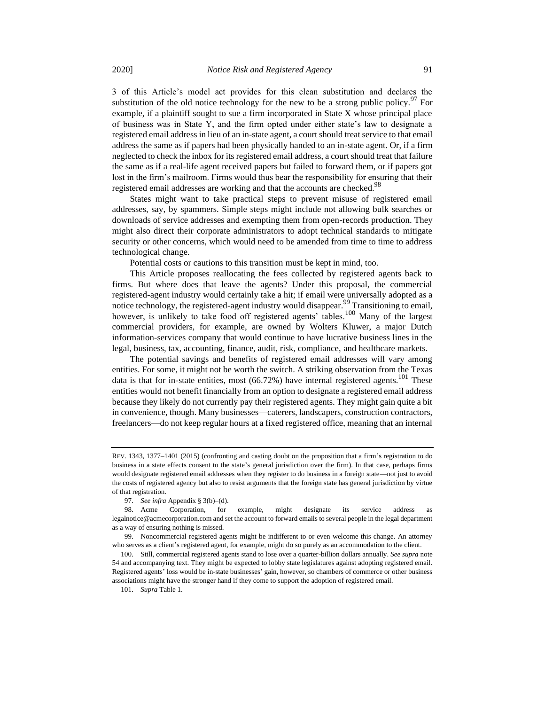3 of this Article's model act provides for this clean substitution and declares the substitution of the old notice technology for the new to be a strong public policy.<sup>97</sup> For example, if a plaintiff sought to sue a firm incorporated in State X whose principal place of business was in State Y, and the firm opted under either state's law to designate a registered email address in lieu of an in-state agent, a court should treat service to that email address the same as if papers had been physically handed to an in-state agent. Or, if a firm neglected to check the inbox for its registered email address, a court should treat that failure the same as if a real-life agent received papers but failed to forward them, or if papers got lost in the firm's mailroom. Firms would thus bear the responsibility for ensuring that their registered email addresses are working and that the accounts are checked.<sup>98</sup>

States might want to take practical steps to prevent misuse of registered email addresses, say, by spammers. Simple steps might include not allowing bulk searches or downloads of service addresses and exempting them from open-records production. They might also direct their corporate administrators to adopt technical standards to mitigate security or other concerns, which would need to be amended from time to time to address technological change.

Potential costs or cautions to this transition must be kept in mind, too.

This Article proposes reallocating the fees collected by registered agents back to firms. But where does that leave the agents? Under this proposal, the commercial registered-agent industry would certainly take a hit; if email were universally adopted as a notice technology, the registered-agent industry would disappear.<sup>99</sup> Transitioning to email, however, is unlikely to take food off registered agents' tables.<sup>100</sup> Many of the largest commercial providers, for example, are owned by Wolters Kluwer, a major Dutch information-services company that would continue to have lucrative business lines in the legal, business, tax, accounting, finance, audit, risk, compliance, and healthcare markets.

The potential savings and benefits of registered email addresses will vary among entities. For some, it might not be worth the switch. A striking observation from the Texas data is that for in-state entities, most  $(66.72%)$  have internal registered agents.<sup>101</sup> These entities would not benefit financially from an option to designate a registered email address because they likely do not currently pay their registered agents. They might gain quite a bit in convenience, though. Many businesses—caterers, landscapers, construction contractors, freelancers—do not keep regular hours at a fixed registered office, meaning that an internal

REV. 1343, 1377–1401 (2015) (confronting and casting doubt on the proposition that a firm's registration to do business in a state effects consent to the state's general jurisdiction over the firm). In that case, perhaps firms would designate registered email addresses when they register to do business in a foreign state—not just to avoid the costs of registered agency but also to resist arguments that the foreign state has general jurisdiction by virtue of that registration.

<sup>97.</sup> *See infra* Appendix § 3(b)–(d).

<sup>98.</sup> Acme Corporation, for example, might designate its service address as legalnotice@acmecorporation.com and set the account to forward emails to several people in the legal department as a way of ensuring nothing is missed.

<sup>99.</sup> Noncommercial registered agents might be indifferent to or even welcome this change. An attorney who serves as a client's registered agent, for example, might do so purely as an accommodation to the client.

<sup>100.</sup> Still, commercial registered agents stand to lose over a quarter-billion dollars annually. *See supra* note [54](#page-9-1) and accompanying text. They might be expected to lobby state legislatures against adopting registered email. Registered agents' loss would be in-state businesses' gain, however, so chambers of commerce or other business associations might have the stronger hand if they come to support the adoption of registered email.

<sup>101.</sup> *Supra* Table 1.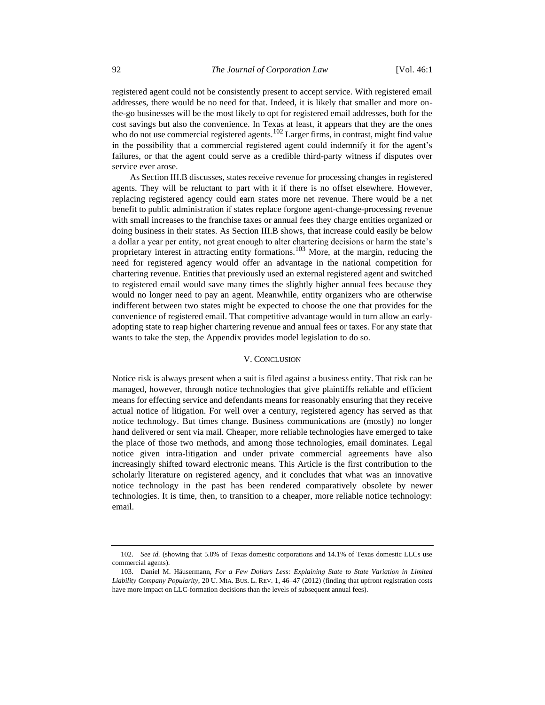registered agent could not be consistently present to accept service. With registered email addresses, there would be no need for that. Indeed, it is likely that smaller and more onthe-go businesses will be the most likely to opt for registered email addresses, both for the cost savings but also the convenience. In Texas at least, it appears that they are the ones who do not use commercial registered agents.<sup>102</sup> Larger firms, in contrast, might find value in the possibility that a commercial registered agent could indemnify it for the agent's failures, or that the agent could serve as a credible third-party witness if disputes over service ever arose.

As Section III.B discusses, states receive revenue for processing changes in registered agents. They will be reluctant to part with it if there is no offset elsewhere. However, replacing registered agency could earn states more net revenue. There would be a net benefit to public administration if states replace forgone agent-change-processing revenue with small increases to the franchise taxes or annual fees they charge entities organized or doing business in their states. As Section III.B shows, that increase could easily be below a dollar a year per entity, not great enough to alter chartering decisions or harm the state's proprietary interest in attracting entity formations.<sup>103</sup> More, at the margin, reducing the need for registered agency would offer an advantage in the national competition for chartering revenue. Entities that previously used an external registered agent and switched to registered email would save many times the slightly higher annual fees because they would no longer need to pay an agent. Meanwhile, entity organizers who are otherwise indifferent between two states might be expected to choose the one that provides for the convenience of registered email. That competitive advantage would in turn allow an earlyadopting state to reap higher chartering revenue and annual fees or taxes. For any state that wants to take the step, the Appendix provides model legislation to do so.

#### V. CONCLUSION

Notice risk is always present when a suit is filed against a business entity. That risk can be managed, however, through notice technologies that give plaintiffs reliable and efficient means for effecting service and defendants means for reasonably ensuring that they receive actual notice of litigation. For well over a century, registered agency has served as that notice technology. But times change. Business communications are (mostly) no longer hand delivered or sent via mail. Cheaper, more reliable technologies have emerged to take the place of those two methods, and among those technologies, email dominates. Legal notice given intra-litigation and under private commercial agreements have also increasingly shifted toward electronic means. This Article is the first contribution to the scholarly literature on registered agency, and it concludes that what was an innovative notice technology in the past has been rendered comparatively obsolete by newer technologies. It is time, then, to transition to a cheaper, more reliable notice technology: email.

<sup>102.</sup> *See id.* (showing that 5.8% of Texas domestic corporations and 14.1% of Texas domestic LLCs use commercial agents).

<sup>103.</sup> Daniel M. Häusermann, *For a Few Dollars Less: Explaining State to State Variation in Limited Liability Company Popularity*, 20 U. MIA. BUS. L. REV. 1, 46–47 (2012) (finding that upfront registration costs have more impact on LLC-formation decisions than the levels of subsequent annual fees).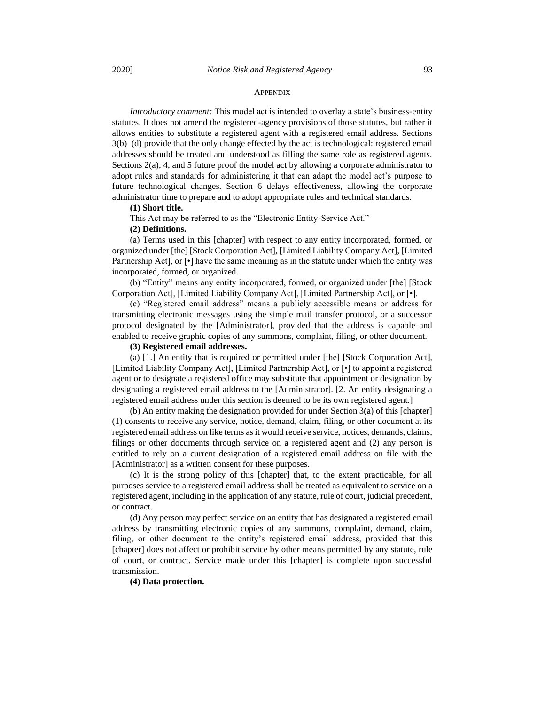#### **APPENDIX**

*Introductory comment:* This model act is intended to overlay a state's business-entity statutes. It does not amend the registered-agency provisions of those statutes, but rather it allows entities to substitute a registered agent with a registered email address. Sections 3(b)–(d) provide that the only change effected by the act is technological: registered email addresses should be treated and understood as filling the same role as registered agents. Sections 2(a), 4, and 5 future proof the model act by allowing a corporate administrator to adopt rules and standards for administering it that can adapt the model act's purpose to future technological changes. Section 6 delays effectiveness, allowing the corporate administrator time to prepare and to adopt appropriate rules and technical standards.

#### **(1) Short title.**

This Act may be referred to as the "Electronic Entity-Service Act."

### **(2) Definitions.**

(a) Terms used in this [chapter] with respect to any entity incorporated, formed, or organized under [the] [Stock Corporation Act], [Limited Liability Company Act], [Limited Partnership Act], or [•] have the same meaning as in the statute under which the entity was incorporated, formed, or organized.

(b) "Entity" means any entity incorporated, formed, or organized under [the] [Stock Corporation Act], [Limited Liability Company Act], [Limited Partnership Act], or [•].

(c) "Registered email address" means a publicly accessible means or address for transmitting electronic messages using the simple mail transfer protocol, or a successor protocol designated by the [Administrator], provided that the address is capable and enabled to receive graphic copies of any summons, complaint, filing, or other document.

## **(3) Registered email addresses.**

(a) [1.] An entity that is required or permitted under [the] [Stock Corporation Act], [Limited Liability Company Act], [Limited Partnership Act], or [•] to appoint a registered agent or to designate a registered office may substitute that appointment or designation by designating a registered email address to the [Administrator]. [2. An entity designating a registered email address under this section is deemed to be its own registered agent.]

(b) An entity making the designation provided for under Section 3(a) of this [chapter] (1) consents to receive any service, notice, demand, claim, filing, or other document at its registered email address on like terms as it would receive service, notices, demands, claims, filings or other documents through service on a registered agent and (2) any person is entitled to rely on a current designation of a registered email address on file with the [Administrator] as a written consent for these purposes.

(c) It is the strong policy of this [chapter] that, to the extent practicable, for all purposes service to a registered email address shall be treated as equivalent to service on a registered agent, including in the application of any statute, rule of court, judicial precedent, or contract.

(d) Any person may perfect service on an entity that has designated a registered email address by transmitting electronic copies of any summons, complaint, demand, claim, filing, or other document to the entity's registered email address, provided that this [chapter] does not affect or prohibit service by other means permitted by any statute, rule of court, or contract. Service made under this [chapter] is complete upon successful transmission.

## **(4) Data protection.**